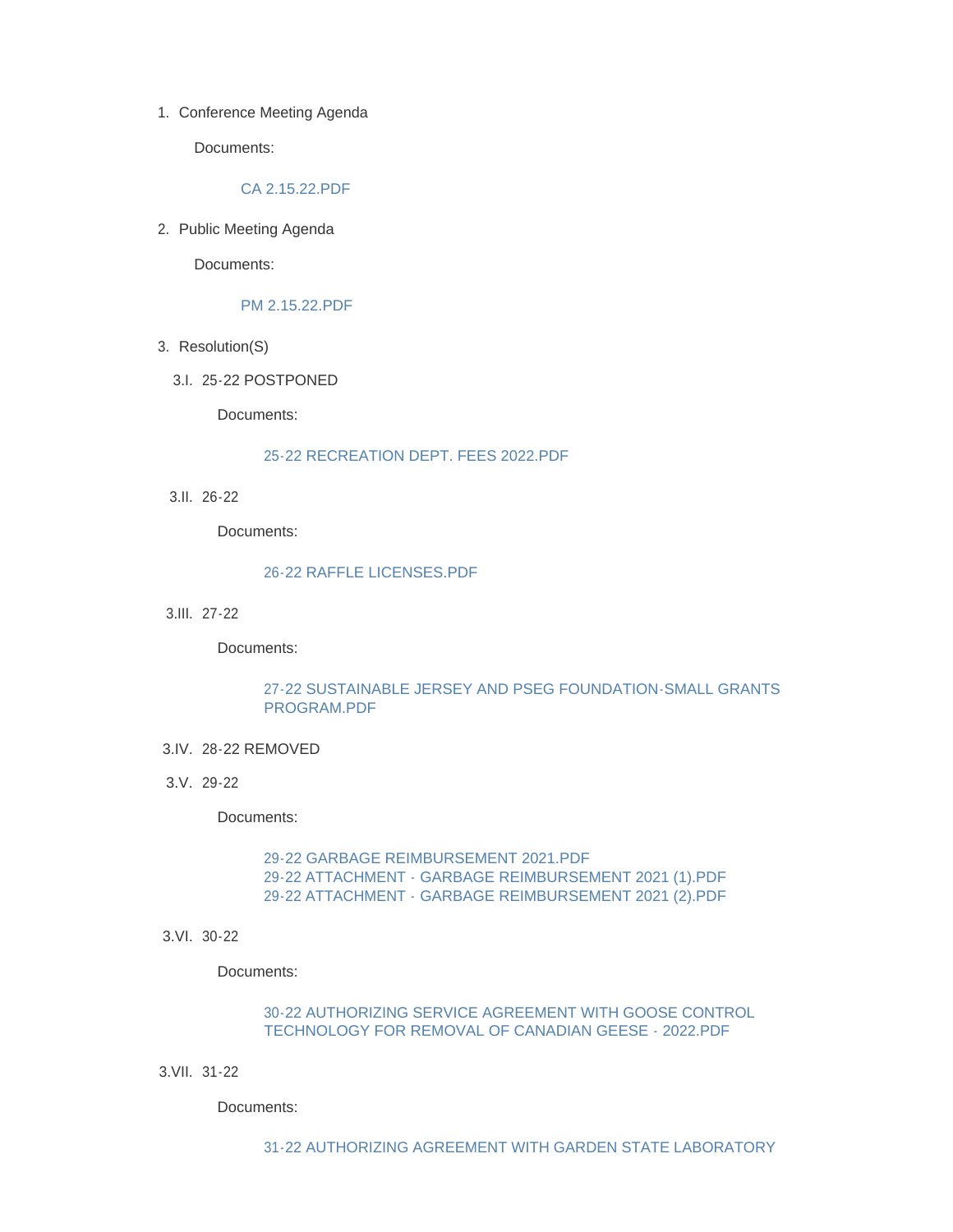1. Conference Meeting Agenda

Documents:

#### [CA 2.15.22.PDF](http://www.westorange.org/AgendaCenter/ViewFile/Item/4555?fileID=14324)

2. Public Meeting Agenda

Documents:

#### [PM 2.15.22.PDF](http://www.westorange.org/AgendaCenter/ViewFile/Item/4556?fileID=14351)

- 3. Resolution(S)
	- 25-22 POSTPONED 3.I.

Documents:

#### [25-22 RECREATION DEPT. FEES 2022.PDF](http://www.westorange.org/AgendaCenter/ViewFile/Item/4545?fileID=14309)

26-22 3.II.

Documents:

#### [26-22 RAFFLE LICENSES.PDF](http://www.westorange.org/AgendaCenter/ViewFile/Item/4554?fileID=14323)

27-22 3.III.

Documents:

### [27-22 SUSTAINABLE JERSEY AND PSEG FOUNDATION-SMALL GRANTS](http://www.westorange.org/AgendaCenter/ViewFile/Item/4546?fileID=14350)  PROGRAM.PDF

- 28-22 REMOVED 3.IV.
- 29-22 3.V.

Documents:

[29-22 GARBAGE REIMBURSEMENT 2021.PDF](http://www.westorange.org/AgendaCenter/ViewFile/Item/4548?fileID=14342) [29-22 ATTACHMENT - GARBAGE REIMBURSEMENT 2021 \(1\).PDF](http://www.westorange.org/AgendaCenter/ViewFile/Item/4548?fileID=14340) [29-22 ATTACHMENT - GARBAGE REIMBURSEMENT 2021 \(2\).PDF](http://www.westorange.org/AgendaCenter/ViewFile/Item/4548?fileID=14341)

3.VI. 30-22

Documents:

# [30-22 AUTHORIZING SERVICE AGREEMENT WITH GOOSE CONTROL](http://www.westorange.org/AgendaCenter/ViewFile/Item/4549?fileID=14315)  TECHNOLOGY FOR REMOVAL OF CANADIAN GEESE - 2022.PDF

31-22 3.VII.

Documents: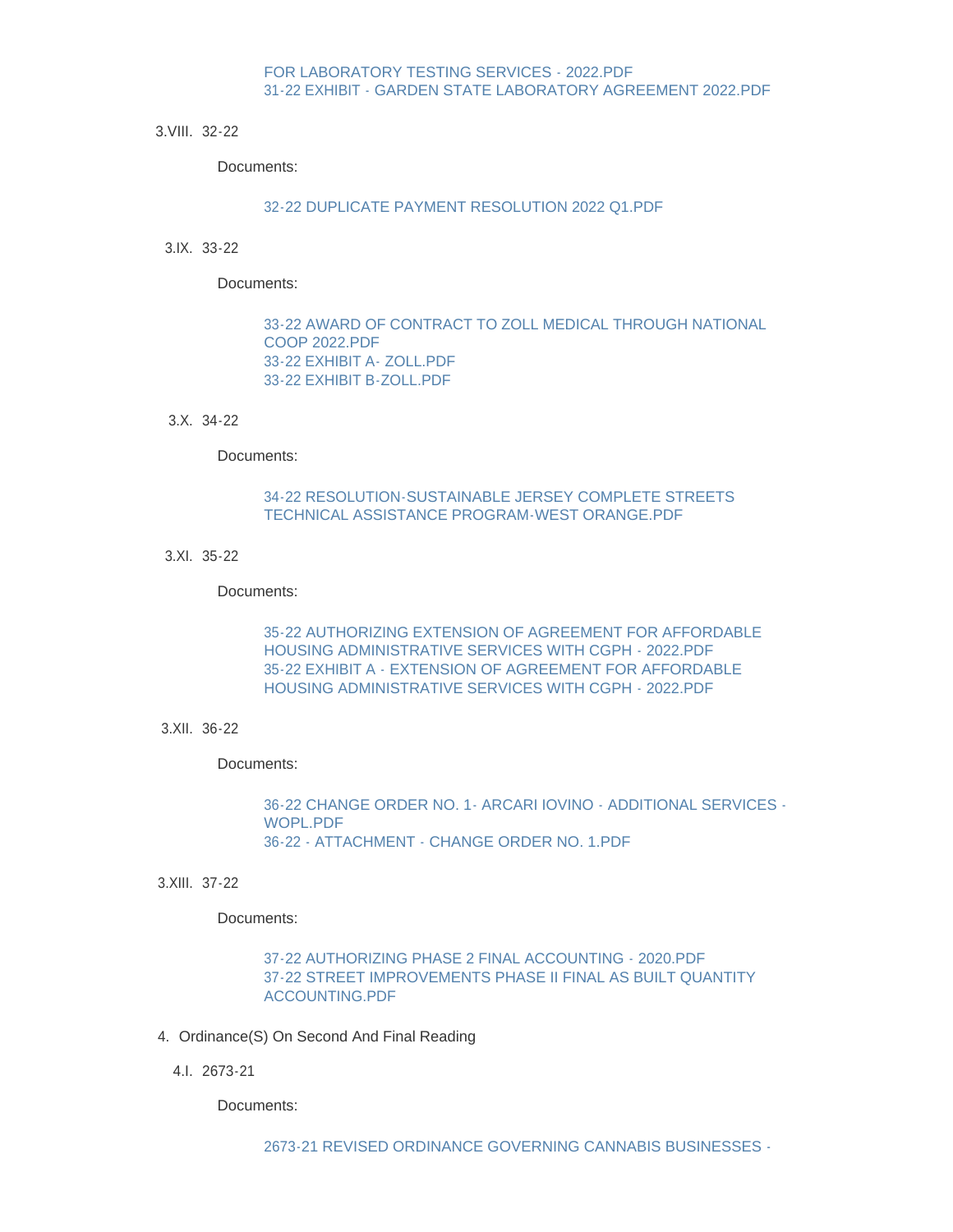## FOR LABORATORY TESTING SERVICES - 2022.PDF [31-22 EXHIBIT - GARDEN STATE LABORATORY AGREEMENT 2022.PDF](http://www.westorange.org/AgendaCenter/ViewFile/Item/4550?fileID=14317)

32-22 3.VIII.

Documents:

### [32-22 DUPLICATE PAYMENT RESOLUTION 2022 Q1.PDF](http://www.westorange.org/AgendaCenter/ViewFile/Item/4551?fileID=14318)

33-22 3.IX.

Documents:

[33-22 AWARD OF CONTRACT TO ZOLL MEDICAL THROUGH NATIONAL](http://www.westorange.org/AgendaCenter/ViewFile/Item/4552?fileID=14319)  COOP 2022.PDF [33-22 EXHIBIT A- ZOLL.PDF](http://www.westorange.org/AgendaCenter/ViewFile/Item/4552?fileID=14320) [33-22 EXHIBIT B-ZOLL.PDF](http://www.westorange.org/AgendaCenter/ViewFile/Item/4552?fileID=14321)

34-22 3.X.

Documents:

# [34-22 RESOLUTION-SUSTAINABLE JERSEY COMPLETE STREETS](http://www.westorange.org/AgendaCenter/ViewFile/Item/4553?fileID=14322)  TECHNICAL ASSISTANCE PROGRAM-WEST ORANGE.PDF

3.XI. 35-22

Documents:

[35-22 AUTHORIZING EXTENSION OF AGREEMENT FOR AFFORDABLE](http://www.westorange.org/AgendaCenter/ViewFile/Item/4560?fileID=14335)  HOUSING ADMINISTRATIVE SERVICES WITH CGPH - 2022.PDF [35-22 EXHIBIT A - EXTENSION OF AGREEMENT FOR AFFORDABLE](http://www.westorange.org/AgendaCenter/ViewFile/Item/4560?fileID=14336)  HOUSING ADMINISTRATIVE SERVICES WITH CGPH - 2022.PDF

#### 3.XII. 36-22

Documents:

[36-22 CHANGE ORDER NO. 1- ARCARI IOVINO - ADDITIONAL SERVICES -](http://www.westorange.org/AgendaCenter/ViewFile/Item/4561?fileID=14344) WOPL.PDF [36-22 - ATTACHMENT - CHANGE ORDER NO. 1.PDF](http://www.westorange.org/AgendaCenter/ViewFile/Item/4561?fileID=14343)

3.XIII. 37-22

Documents:

[37-22 AUTHORIZING PHASE 2 FINAL ACCOUNTING - 2020.PDF](http://www.westorange.org/AgendaCenter/ViewFile/Item/4562?fileID=14345) [37-22 STREET IMPROVEMENTS PHASE II FINAL AS BUILT QUANTITY](http://www.westorange.org/AgendaCenter/ViewFile/Item/4562?fileID=14346)  ACCOUNTING.PDF

- 4. Ordinance(S) On Second And Final Reading
	- 2673-21 4.I.

Documents: